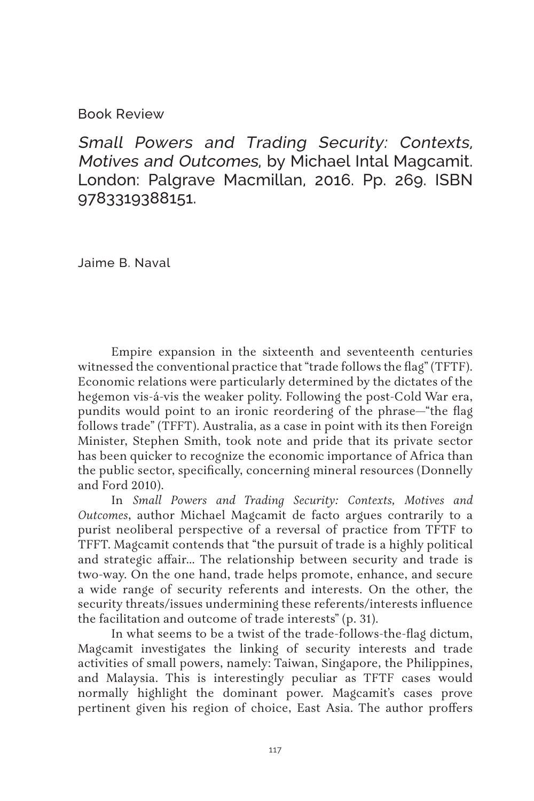## Book Review

Small Powers and Trading Security: Contexts, Motives and Outcomes, by Michael Intal Magcamit. London: Palgrave Macmillan, 2016. Pp. 269. ISBN 9783319388151.

Jaime B. Naval

Empire expansion in the sixteenth and seventeenth centuries witnessed the conventional practice that "trade follows the flag" (TFTF). Economic relations were particularly determined by the dictates of the hegemon vis-á-vis the weaker polity. Following the post-Cold War era, pundits would point to an ironic reordering of the phrase—"the flag follows trade" (TFFT). Australia, as a case in point with its then Foreign Minister, Stephen Smith, took note and pride that its private sector has been quicker to recognize the economic importance of Africa than the public sector, specifically, concerning mineral resources (Donnelly and Ford 2010).

In *Small Powers and Trading Security: Contexts, Motives and Outcomes*, author Michael Magcamit de facto argues contrarily to a purist neoliberal perspective of a reversal of practice from TFTF to TFFT. Magcamit contends that "the pursuit of trade is a highly political and strategic affair… The relationship between security and trade is two-way. On the one hand, trade helps promote, enhance, and secure a wide range of security referents and interests. On the other, the security threats/issues undermining these referents/interests influence the facilitation and outcome of trade interests" (p. 31).

In what seems to be a twist of the trade-follows-the-flag dictum, Magcamit investigates the linking of security interests and trade activities of small powers, namely: Taiwan, Singapore, the Philippines, and Malaysia. This is interestingly peculiar as TFTF cases would normally highlight the dominant power. Magcamit's cases prove pertinent given his region of choice, East Asia. The author proffers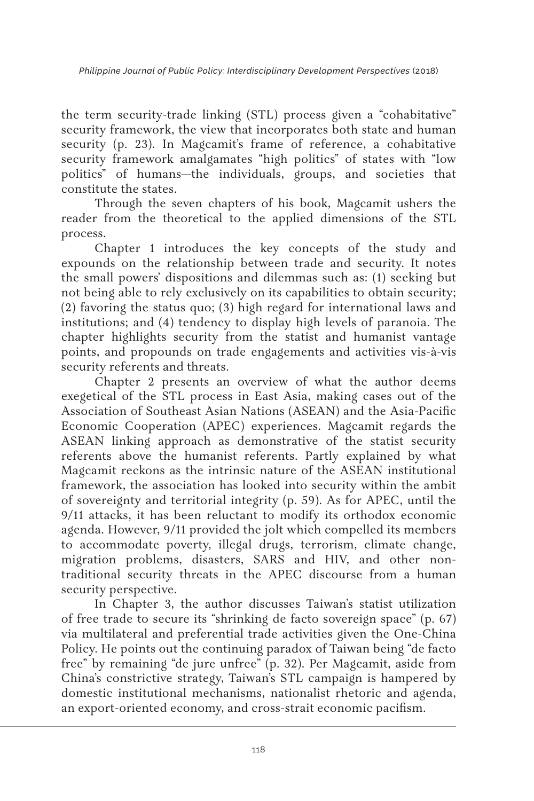the term security-trade linking (STL) process given a "cohabitative" security framework, the view that incorporates both state and human security (p. 23). In Magcamit's frame of reference, a cohabitative security framework amalgamates "high politics" of states with "low politics" of humans—the individuals, groups, and societies that constitute the states.

Through the seven chapters of his book, Magcamit ushers the reader from the theoretical to the applied dimensions of the STL process.

Chapter 1 introduces the key concepts of the study and expounds on the relationship between trade and security. It notes the small powers' dispositions and dilemmas such as: (1) seeking but not being able to rely exclusively on its capabilities to obtain security; (2) favoring the status quo; (3) high regard for international laws and institutions; and (4) tendency to display high levels of paranoia. The chapter highlights security from the statist and humanist vantage points, and propounds on trade engagements and activities vis-à-vis security referents and threats.

Chapter 2 presents an overview of what the author deems exegetical of the STL process in East Asia, making cases out of the Association of Southeast Asian Nations (ASEAN) and the Asia-Pacific Economic Cooperation (APEC) experiences. Magcamit regards the ASEAN linking approach as demonstrative of the statist security referents above the humanist referents. Partly explained by what Magcamit reckons as the intrinsic nature of the ASEAN institutional framework, the association has looked into security within the ambit of sovereignty and territorial integrity (p. 59). As for APEC, until the 9/11 attacks, it has been reluctant to modify its orthodox economic agenda. However, 9/11 provided the jolt which compelled its members to accommodate poverty, illegal drugs, terrorism, climate change, migration problems, disasters, SARS and HIV, and other nontraditional security threats in the APEC discourse from a human security perspective.

In Chapter 3, the author discusses Taiwan's statist utilization of free trade to secure its "shrinking de facto sovereign space" (p. 67) via multilateral and preferential trade activities given the One-China Policy. He points out the continuing paradox of Taiwan being "de facto free" by remaining "de jure unfree" (p. 32). Per Magcamit, aside from China's constrictive strategy, Taiwan's STL campaign is hampered by domestic institutional mechanisms, nationalist rhetoric and agenda, an export-oriented economy, and cross-strait economic pacifism.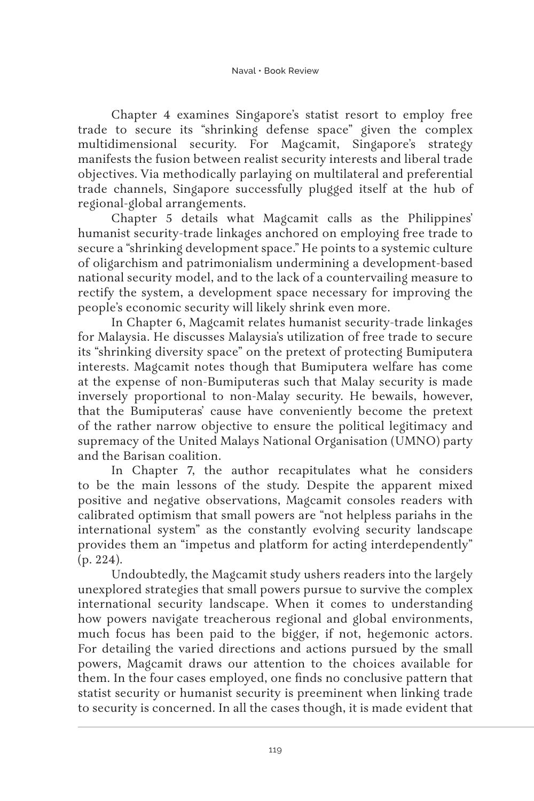Chapter 4 examines Singapore's statist resort to employ free trade to secure its "shrinking defense space" given the complex multidimensional security. For Magcamit, Singapore's strategy manifests the fusion between realist security interests and liberal trade objectives. Via methodically parlaying on multilateral and preferential trade channels, Singapore successfully plugged itself at the hub of regional-global arrangements.

Chapter 5 details what Magcamit calls as the Philippines' humanist security-trade linkages anchored on employing free trade to secure a "shrinking development space." He points to a systemic culture of oligarchism and patrimonialism undermining a development-based national security model, and to the lack of a countervailing measure to rectify the system, a development space necessary for improving the people's economic security will likely shrink even more.

In Chapter 6, Magcamit relates humanist security-trade linkages for Malaysia. He discusses Malaysia's utilization of free trade to secure its "shrinking diversity space" on the pretext of protecting Bumiputera interests. Magcamit notes though that Bumiputera welfare has come at the expense of non-Bumiputeras such that Malay security is made inversely proportional to non-Malay security. He bewails, however, that the Bumiputeras' cause have conveniently become the pretext of the rather narrow objective to ensure the political legitimacy and supremacy of the United Malays National Organisation (UMNO) party and the Barisan coalition.

In Chapter 7, the author recapitulates what he considers to be the main lessons of the study. Despite the apparent mixed positive and negative observations, Magcamit consoles readers with calibrated optimism that small powers are "not helpless pariahs in the international system" as the constantly evolving security landscape provides them an "impetus and platform for acting interdependently" (p. 224).

Undoubtedly, the Magcamit study ushers readers into the largely unexplored strategies that small powers pursue to survive the complex international security landscape. When it comes to understanding how powers navigate treacherous regional and global environments, much focus has been paid to the bigger, if not, hegemonic actors. For detailing the varied directions and actions pursued by the small powers, Magcamit draws our attention to the choices available for them. In the four cases employed, one finds no conclusive pattern that statist security or humanist security is preeminent when linking trade to security is concerned. In all the cases though, it is made evident that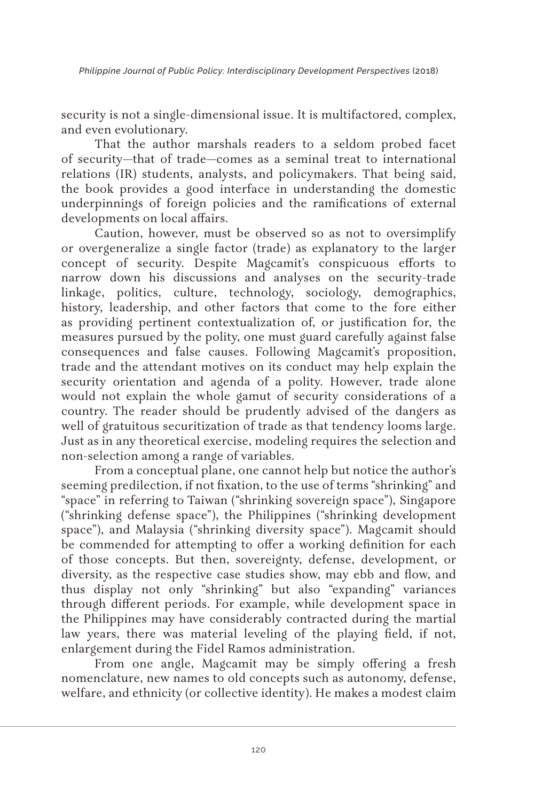*Philippine Journal of Public Policy: Interdisciplinary Development Perspectives* (2018)

security is not a single-dimensional issue. It is multifactored, complex, and even evolutionary.

That the author marshals readers to a seldom probed facet of security—that of trade—comes as a seminal treat to international relations (IR) students, analysts, and policymakers. That being said, the book provides a good interface in understanding the domestic underpinnings of foreign policies and the ramifications of external developments on local affairs.

Caution, however, must be observed so as not to oversimplify or overgeneralize a single factor (trade) as explanatory to the larger concept of security. Despite Magcamit's conspicuous efforts to narrow down his discussions and analyses on the security-trade linkage, politics, culture, technology, sociology, demographics, history, leadership, and other factors that come to the fore either as providing pertinent contextualization of, or justification for, the measures pursued by the polity, one must guard carefully against false consequences and false causes. Following Magcamit's proposition, trade and the attendant motives on its conduct may help explain the security orientation and agenda of a polity. However, trade alone would not explain the whole gamut of security considerations of a country. The reader should be prudently advised of the dangers as well of gratuitous securitization of trade as that tendency looms large. Just as in any theoretical exercise, modeling requires the selection and non-selection among a range of variables.

From a conceptual plane, one cannot help but notice the author's seeming predilection, if not fixation, to the use of terms "shrinking" and "space" in referring to Taiwan ("shrinking sovereign space"), Singapore ("shrinking defense space"), the Philippines ("shrinking development space"), and Malaysia ("shrinking diversity space"). Magcamit should be commended for attempting to offer a working definition for each of those concepts. But then, sovereignty, defense, development, or diversity, as the respective case studies show, may ebb and flow, and thus display not only "shrinking" but also "expanding" variances through different periods. For example, while development space in the Philippines may have considerably contracted during the martial law years, there was material leveling of the playing field, if not, enlargement during the Fidel Ramos administration.

From one angle, Magcamit may be simply offering a fresh nomenclature, new names to old concepts such as autonomy, defense, welfare, and ethnicity (or collective identity). He makes a modest claim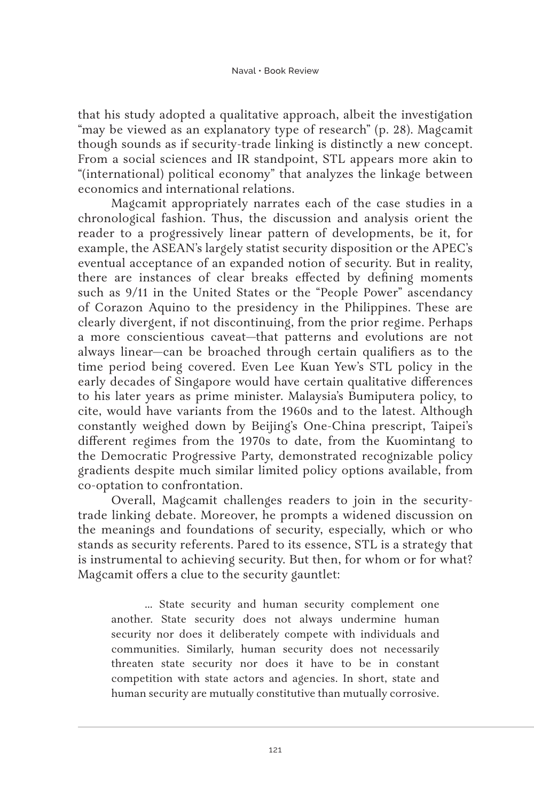that his study adopted a qualitative approach, albeit the investigation "may be viewed as an explanatory type of research" (p. 28). Magcamit though sounds as if security-trade linking is distinctly a new concept. From a social sciences and IR standpoint, STL appears more akin to "(international) political economy" that analyzes the linkage between economics and international relations.

Magcamit appropriately narrates each of the case studies in a chronological fashion. Thus, the discussion and analysis orient the reader to a progressively linear pattern of developments, be it, for example, the ASEAN's largely statist security disposition or the APEC's eventual acceptance of an expanded notion of security. But in reality, there are instances of clear breaks effected by defining moments such as 9/11 in the United States or the "People Power" ascendancy of Corazon Aquino to the presidency in the Philippines. These are clearly divergent, if not discontinuing, from the prior regime. Perhaps a more conscientious caveat—that patterns and evolutions are not always linear—can be broached through certain qualifiers as to the time period being covered. Even Lee Kuan Yew's STL policy in the early decades of Singapore would have certain qualitative differences to his later years as prime minister. Malaysia's Bumiputera policy, to cite, would have variants from the 1960s and to the latest. Although constantly weighed down by Beijing's One-China prescript, Taipei's different regimes from the 1970s to date, from the Kuomintang to the Democratic Progressive Party, demonstrated recognizable policy gradients despite much similar limited policy options available, from co-optation to confrontation.

Overall, Magcamit challenges readers to join in the securitytrade linking debate. Moreover, he prompts a widened discussion on the meanings and foundations of security, especially, which or who stands as security referents. Pared to its essence, STL is a strategy that is instrumental to achieving security. But then, for whom or for what? Magcamit offers a clue to the security gauntlet:

… State security and human security complement one another. State security does not always undermine human security nor does it deliberately compete with individuals and communities. Similarly, human security does not necessarily threaten state security nor does it have to be in constant competition with state actors and agencies. In short, state and human security are mutually constitutive than mutually corrosive.